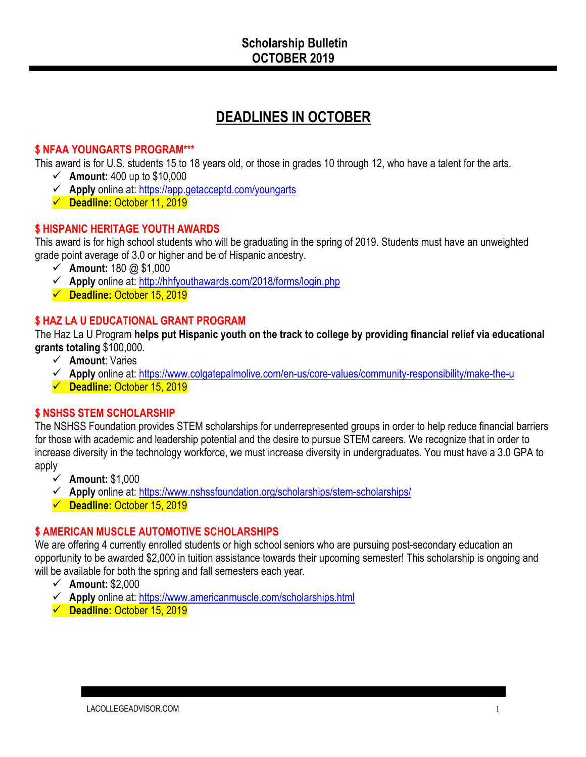# **DEADLINES IN OCTOBER**

#### **\$ NFAA YOUNGARTS PROGRAM\*\*\***

This award is for U.S. students 15 to 18 years old, or those in grades 10 through 12, who have a talent for the arts.

- $\checkmark$  **Amount:** 400 up to \$10,000
- ü **Apply** online at: https://app.getacceptd.com/youngarts
- ü **Deadline:** October 11, 2019

#### **\$ HISPANIC HERITAGE YOUTH AWARDS**

This award is for high school students who will be graduating in the spring of 2019. Students must have an unweighted grade point average of 3.0 or higher and be of Hispanic ancestry.

- $\checkmark$  Amount: 180 @ \$1,000
- ü **Apply** online at: http://hhfyouthawards.com/2018/forms/login.php
- ü **Deadline:** October 15, 2019

# **\$ HAZ LA U EDUCATIONAL GRANT PROGRAM**

The Haz La U Program **helps put Hispanic youth on the track to college by providing financial relief via educational grants totaling** \$100,000.

- ü **Amount**: Varies
- ü **Apply** online at: https://www.colgatepalmolive.com/en-us/core-values/community-responsibility/make-the-u
- ü **Deadline:** October 15, 2019

#### **\$ NSHSS STEM SCHOLARSHIP**

The NSHSS Foundation provides STEM scholarships for underrepresented groups in order to help reduce financial barriers for those with academic and leadership potential and the desire to pursue STEM careers. We recognize that in order to increase diversity in the technology workforce, we must increase diversity in undergraduates. You must have a 3.0 GPA to apply

- ü **Amount:** \$1,000
- ü **Apply** online at: https://www.nshssfoundation.org/scholarships/stem-scholarships/
- ü **Deadline:** October 15, 2019

# **\$ AMERICAN MUSCLE AUTOMOTIVE SCHOLARSHIPS**

We are offering 4 currently enrolled students or high school seniors who are pursuing post-secondary education an opportunity to be awarded \$2,000 in tuition assistance towards their upcoming semester! This scholarship is ongoing and will be available for both the spring and fall semesters each year.

- ü **Amount:** \$2,000
- ü **Apply** online at: https://www.americanmuscle.com/scholarships.html
- ü **Deadline:** October 15, 2019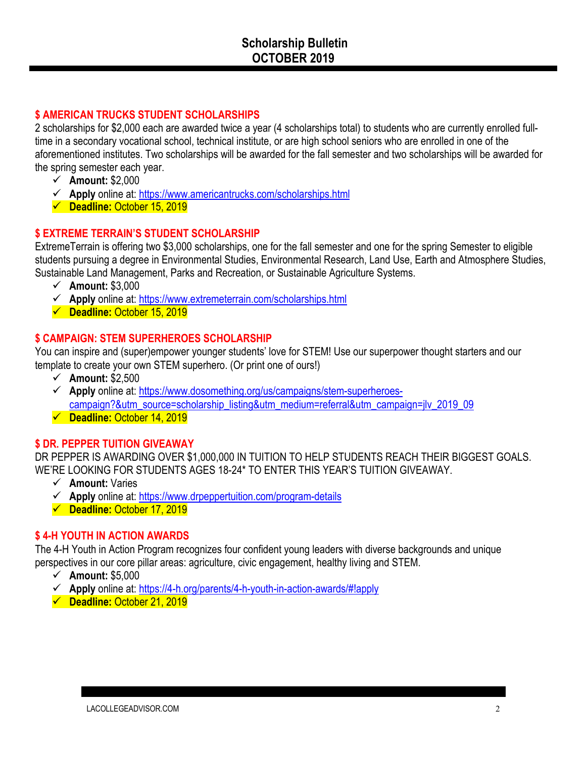#### **\$ AMERICAN TRUCKS STUDENT SCHOLARSHIPS**

2 scholarships for \$2,000 each are awarded twice a year (4 scholarships total) to students who are currently enrolled fulltime in a secondary vocational school, technical institute, or are high school seniors who are enrolled in one of the aforementioned institutes. Two scholarships will be awarded for the fall semester and two scholarships will be awarded for the spring semester each year.

- ü **Amount:** \$2,000
- ü **Apply** online at: https://www.americantrucks.com/scholarships.html
- ü **Deadline:** October 15, 2019

#### **\$ EXTREME TERRAIN'S STUDENT SCHOLARSHIP**

ExtremeTerrain is offering two \$3,000 scholarships, one for the fall semester and one for the spring Semester to eligible students pursuing a degree in Environmental Studies, Environmental Research, Land Use, Earth and Atmosphere Studies, Sustainable Land Management, Parks and Recreation, or Sustainable Agriculture Systems.

- $\checkmark$  Amount: \$3,000
- ü **Apply** online at: https://www.extremeterrain.com/scholarships.html
- ü **Deadline:** October 15, 2019

#### **\$ CAMPAIGN: STEM SUPERHEROES SCHOLARSHIP**

You can inspire and (super)empower younger students' love for STEM! Use our superpower thought starters and our template to create your own STEM superhero. (Or print one of ours!)

- ü **Amount:** \$2,500
- ü **Apply** online at: https://www.dosomething.org/us/campaigns/stem-superheroescampaign?&utm\_source=scholarship\_listing&utm\_medium=referral&utm\_campaign=jlv\_2019\_09
- ü **Deadline:** October 14, 2019

# **\$ DR. PEPPER TUITION GIVEAWAY**

DR PEPPER IS AWARDING OVER \$1,000,000 IN TUITION TO HELP STUDENTS REACH THEIR BIGGEST GOALS. WE'RE LOOKING FOR STUDENTS AGES 18-24\* TO ENTER THIS YEAR'S TUITION GIVEAWAY.

- ü **Amount:** Varies
- ü **Apply** online at: https://www.drpeppertuition.com/program-details
- ü **Deadline:** October 17, 2019

# **\$ 4-H YOUTH IN ACTION AWARDS**

The 4-H Youth in Action Program recognizes four confident young leaders with diverse backgrounds and unique perspectives in our core pillar areas: agriculture, civic engagement, healthy living and STEM.

- ü **Amount:** \$5,000
- ü **Apply** online at: https://4-h.org/parents/4-h-youth-in-action-awards/#!apply
- ü **Deadline:** October 21, 2019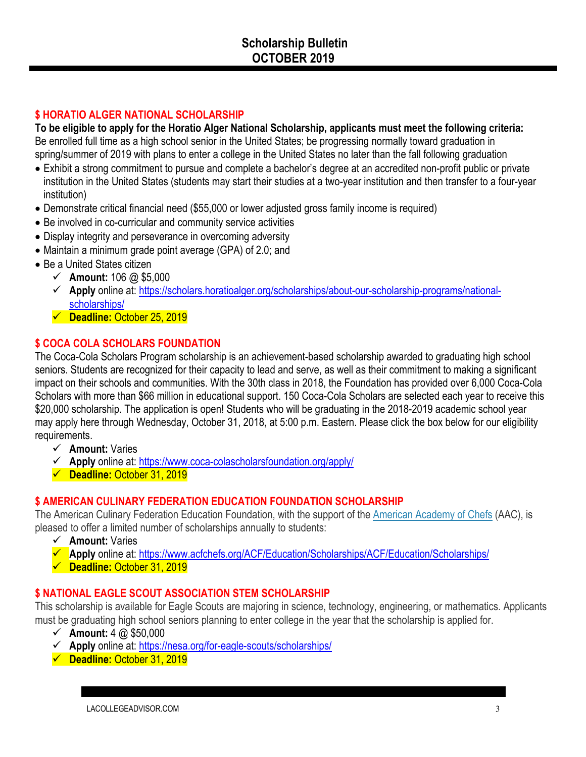#### **\$ HORATIO ALGER NATIONAL SCHOLARSHIP**

**To be eligible to apply for the Horatio Alger National Scholarship, applicants must meet the following criteria:** Be enrolled full time as a high school senior in the United States; be progressing normally toward graduation in spring/summer of 2019 with plans to enter a college in the United States no later than the fall following graduation

- Exhibit a strong commitment to pursue and complete a bachelor's degree at an accredited non-profit public or private institution in the United States (students may start their studies at a two-year institution and then transfer to a four-year institution)
- Demonstrate critical financial need (\$55,000 or lower adjusted gross family income is required)
- Be involved in co-curricular and community service activities
- Display integrity and perseverance in overcoming adversity
- Maintain a minimum grade point average (GPA) of 2.0; and
- Be a United States citizen
	- $\checkmark$  Amount: 106 @ \$5,000
	- ü **Apply** online at: https://scholars.horatioalger.org/scholarships/about-our-scholarship-programs/nationalscholarships/
	- ü **Deadline:** October 25, 2019

#### **\$ COCA COLA SCHOLARS FOUNDATION**

The Coca-Cola Scholars Program scholarship is an achievement-based scholarship awarded to graduating high school seniors. Students are recognized for their capacity to lead and serve, as well as their commitment to making a significant impact on their schools and communities. With the 30th class in 2018, the Foundation has provided over 6,000 Coca-Cola Scholars with more than \$66 million in educational support. 150 Coca-Cola Scholars are selected each year to receive this \$20,000 scholarship. The application is open! Students who will be graduating in the 2018-2019 academic school year may apply here through Wednesday, October 31, 2018, at 5:00 p.m. Eastern. Please click the box below for our eligibility requirements.

- ü **Amount:** Varies
- ü **Apply** online at: https://www.coca-colascholarsfoundation.org/apply/
- ü **Deadline:** October 31, 2019

# **\$ AMERICAN CULINARY FEDERATION EDUCATION FOUNDATION SCHOLARSHIP**

The American Culinary Federation Education Foundation, with the support of the American Academy of Chefs (AAC), is pleased to offer a limited number of scholarships annually to students:

- ü **Amount:** Varies
- **Apply** online at: https://www.acfchefs.org/ACF/Education/Scholarships/ACF/Education/Scholarships/
- ü **Deadline:** October 31, 2019

#### **\$ NATIONAL EAGLE SCOUT ASSOCIATION STEM SCHOLARSHIP**

This scholarship is available for Eagle Scouts are majoring in science, technology, engineering, or mathematics. Applicants must be graduating high school seniors planning to enter college in the year that the scholarship is applied for.

- $\checkmark$  Amount:  $4 \text{ } \textcircled{a}$  \$50,000
- ü **Apply** online at: https://nesa.org/for-eagle-scouts/scholarships/
- ü **Deadline:** October 31, 2019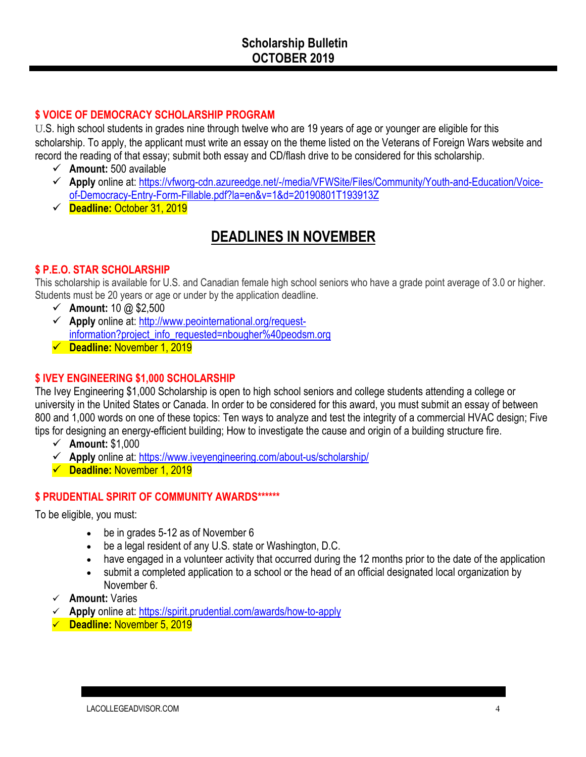#### **\$ VOICE OF DEMOCRACY SCHOLARSHIP PROGRAM**

U.S. high school students in grades nine through twelve who are 19 years of age or younger are eligible for this scholarship. To apply, the applicant must write an essay on the theme listed on the Veterans of Foreign Wars website and record the reading of that essay; submit both essay and CD/flash drive to be considered for this scholarship.

- $\checkmark$  Amount: 500 available
- ü **Apply** online at: https://vfworg-cdn.azureedge.net/-/media/VFWSite/Files/Community/Youth-and-Education/Voiceof-Democracy-Entry-Form-Fillable.pdf?la=en&v=1&d=20190801T193913Z
- ü **Deadline:** October 31, 2019

# **DEADLINES IN NOVEMBER**

#### **\$ P.E.O. STAR SCHOLARSHIP**

This scholarship is available for U.S. and Canadian female high school seniors who have a grade point average of 3.0 or higher. Students must be 20 years or age or under by the application deadline.

- $\checkmark$  Amount: 10 @ \$2,500
- ü **Apply** online at: http://www.peointernational.org/requestinformation?project\_info\_requested=nbougher%40peodsm.org
- ü **Deadline:** November 1, 2019

#### **\$ IVEY ENGINEERING \$1,000 SCHOLARSHIP**

The Ivey Engineering \$1,000 Scholarship is open to high school seniors and college students attending a college or university in the United States or Canada. In order to be considered for this award, you must submit an essay of between 800 and 1,000 words on one of these topics: Ten ways to analyze and test the integrity of a commercial HVAC design; Five tips for designing an energy-efficient building; How to investigate the cause and origin of a building structure fire.

- ü **Amount:** \$1,000
- ü **Apply** online at: https://www.iveyengineering.com/about-us/scholarship/
- ü **Deadline:** November 1, 2019

#### **\$ PRUDENTIAL SPIRIT OF COMMUNITY AWARDS\*\*\*\*\*\***

To be eligible, you must:

- be in grades 5-12 as of November 6
- be a legal resident of any U.S. state or Washington, D.C.
- have engaged in a volunteer activity that occurred during the 12 months prior to the date of the application
- submit a completed application to a school or the head of an official designated local organization by November 6.
- ü **Amount:** Varies
- ü **Apply** online at: https://spirit.prudential.com/awards/how-to-apply
- ü **Deadline:** November 5, 2019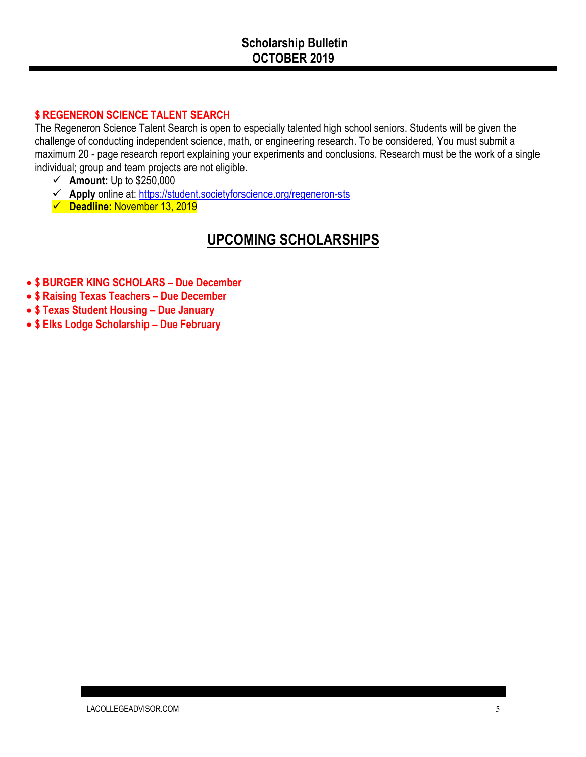### **\$ REGENERON SCIENCE TALENT SEARCH**

The Regeneron Science Talent Search is open to especially talented high school seniors. Students will be given the challenge of conducting independent science, math, or engineering research. To be considered, You must submit a maximum 20 - page research report explaining your experiments and conclusions. Research must be the work of a single individual; group and team projects are not eligible.

- $\checkmark$  **Amount:** Up to \$250,000
- ü **Apply** online at: https://student.societyforscience.org/regeneron-sts
- ü **Deadline:** November 13, 2019

# **UPCOMING SCHOLARSHIPS**

- **\$ BURGER KING SCHOLARS – Due December**
- **\$ Raising Texas Teachers – Due December**
- **\$ Texas Student Housing – Due January**
- **\$ Elks Lodge Scholarship – Due February**